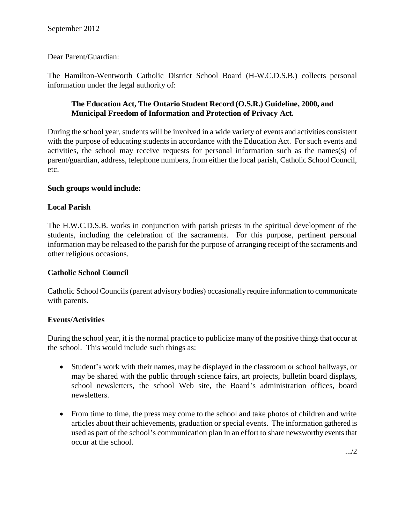Dear Parent/Guardian:

The Hamilton-Wentworth Catholic District School Board (H-W.C.D.S.B.) collects personal information under the legal authority of:

# **The Education Act, The Ontario Student Record (O.S.R.) Guideline, 2000, and Municipal Freedom of Information and Protection of Privacy Act.**

During the school year, students will be involved in a wide variety of events and activities consistent with the purpose of educating students in accordance with the Education Act. For such events and activities, the school may receive requests for personal information such as the names(s) of parent/guardian, address, telephone numbers, from either the local parish, Catholic School Council, etc.

#### **Such groups would include:**

# **Local Parish**

The H.W.C.D.S.B. works in conjunction with parish priests in the spiritual development of the students, including the celebration of the sacraments. For this purpose, pertinent personal information may be released to the parish for the purpose of arranging receipt of the sacraments and other religious occasions.

#### **Catholic School Council**

Catholic School Councils (parent advisory bodies) occasionally require information to communicate with parents.

# **Events/Activities**

During the school year, it is the normal practice to publicize many of the positive things that occur at the school. This would include such things as:

- Student's work with their names, may be displayed in the classroom or school hallways, or may be shared with the public through science fairs, art projects, bulletin board displays, school newsletters, the school Web site, the Board's administration offices, board newsletters.
- From time to time, the press may come to the school and take photos of children and write articles about their achievements, graduation or special events. The information gathered is used as part of the school's communication plan in an effort to share newsworthy events that occur at the school.